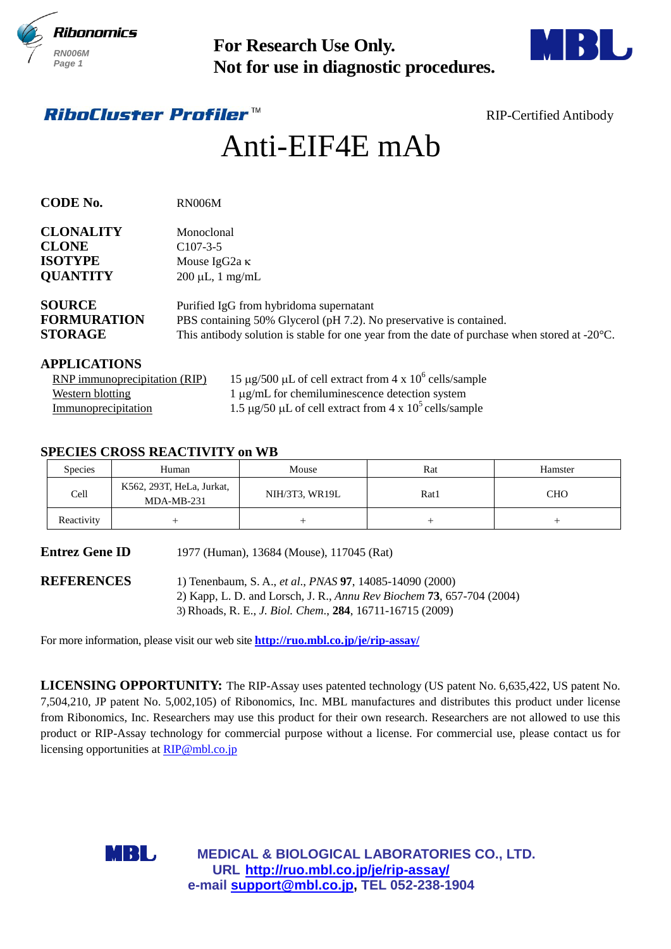



# Anti-EIF4E mAb

| <b>RN006M</b><br>Page 1                                                                                                                                                                                                                                                            |                                                  | <b>For Research Use Only.</b><br>Not for use in diagnostic procedures.                                                                                                                                                                                                                                                                                                                                                                                                                                                                  |      |                               |
|------------------------------------------------------------------------------------------------------------------------------------------------------------------------------------------------------------------------------------------------------------------------------------|--------------------------------------------------|-----------------------------------------------------------------------------------------------------------------------------------------------------------------------------------------------------------------------------------------------------------------------------------------------------------------------------------------------------------------------------------------------------------------------------------------------------------------------------------------------------------------------------------------|------|-------------------------------|
|                                                                                                                                                                                                                                                                                    | <i>RiboCluster Profiler™</i>                     |                                                                                                                                                                                                                                                                                                                                                                                                                                                                                                                                         |      | <b>RIP-Certified Antibody</b> |
|                                                                                                                                                                                                                                                                                    |                                                  | Anti-EIF4E mAb                                                                                                                                                                                                                                                                                                                                                                                                                                                                                                                          |      |                               |
| <b>CODE No.</b>                                                                                                                                                                                                                                                                    | <b>RN006M</b>                                    |                                                                                                                                                                                                                                                                                                                                                                                                                                                                                                                                         |      |                               |
| <b>CLONALITY</b><br>Monoclonal                                                                                                                                                                                                                                                     |                                                  |                                                                                                                                                                                                                                                                                                                                                                                                                                                                                                                                         |      |                               |
| <b>CLONE</b><br>$C107-3-5$<br><b>ISOTYPE</b><br>Mouse IgG <sub>2a</sub> κ                                                                                                                                                                                                          |                                                  |                                                                                                                                                                                                                                                                                                                                                                                                                                                                                                                                         |      |                               |
| <b>QUANTITY</b>                                                                                                                                                                                                                                                                    | $200 \mu L$ , 1 mg/mL                            |                                                                                                                                                                                                                                                                                                                                                                                                                                                                                                                                         |      |                               |
| <b>SOURCE</b><br>Purified IgG from hybridoma supernatant<br><b>FORMURATION</b><br>PBS containing 50% Glycerol (pH 7.2). No preservative is contained.<br><b>STORAGE</b><br>This antibody solution is stable for one year from the date of purchase when stored at $-20^{\circ}$ C. |                                                  |                                                                                                                                                                                                                                                                                                                                                                                                                                                                                                                                         |      |                               |
| <b>APPLICATIONS</b>                                                                                                                                                                                                                                                                |                                                  |                                                                                                                                                                                                                                                                                                                                                                                                                                                                                                                                         |      |                               |
|                                                                                                                                                                                                                                                                                    | RNP immunoprecipitation (RIP)                    | 15 µg/500 µL of cell extract from 4 x $10^6$ cells/sample                                                                                                                                                                                                                                                                                                                                                                                                                                                                               |      |                               |
| <b>Western blotting</b><br>Immunoprecipitation                                                                                                                                                                                                                                     |                                                  | 1 µg/mL for chemiluminescence detection system<br>1.5 $\mu$ g/50 $\mu$ L of cell extract from 4 x 10 <sup>5</sup> cells/sample                                                                                                                                                                                                                                                                                                                                                                                                          |      |                               |
|                                                                                                                                                                                                                                                                                    |                                                  |                                                                                                                                                                                                                                                                                                                                                                                                                                                                                                                                         |      |                               |
| <b>Species</b>                                                                                                                                                                                                                                                                     | <b>SPECIES CROSS REACTIVITY on WB</b><br>Human   | Mouse                                                                                                                                                                                                                                                                                                                                                                                                                                                                                                                                   | Rat  | Hamster                       |
| Cell                                                                                                                                                                                                                                                                               | K562, 293T, HeLa, Jurkat,<br>MDA-MB-231          | NIH/3T3, WR19L                                                                                                                                                                                                                                                                                                                                                                                                                                                                                                                          | Rat1 | <b>CHO</b>                    |
| Reactivity                                                                                                                                                                                                                                                                         | $^{+}$<br>$^{+}$<br>$^{+}$<br>$^{+}$             |                                                                                                                                                                                                                                                                                                                                                                                                                                                                                                                                         |      |                               |
| <b>Entrez Gene ID</b>                                                                                                                                                                                                                                                              |                                                  | 1977 (Human), 13684 (Mouse), 117045 (Rat)                                                                                                                                                                                                                                                                                                                                                                                                                                                                                               |      |                               |
| <b>REFERENCES</b>                                                                                                                                                                                                                                                                  |                                                  | 1) Tenenbaum, S. A., et al., PNAS 97, 14085-14090 (2000)<br>2) Kapp, L. D. and Lorsch, J. R., Annu Rev Biochem 73, 657-704 (2004)<br>3) Rhoads, R. E., J. Biol. Chem., 284, 16711-16715 (2009)                                                                                                                                                                                                                                                                                                                                          |      |                               |
|                                                                                                                                                                                                                                                                                    |                                                  | For more information, please visit our web site <b>http://ruo.mbl.co.jp/je/rip-assay/</b>                                                                                                                                                                                                                                                                                                                                                                                                                                               |      |                               |
|                                                                                                                                                                                                                                                                                    | licensing opportunities at RIP@mbl.co.jp<br>MBL, | LICENSING OPPORTUNITY: The RIP-Assay uses patented technology (US patent No. 6,635,422, US patent No.<br>7,504,210, JP patent No. 5,002,105) of Ribonomics, Inc. MBL manufactures and distributes this product under license<br>from Ribonomics, Inc. Researchers may use this product for their own research. Researchers are not allowed to use this<br>product or RIP-Assay technology for commercial purpose without a license. For commercial use, please contact us for<br><b>MEDICAL &amp; BIOLOGICAL LABORATORIES CO., LTD.</b> |      |                               |
|                                                                                                                                                                                                                                                                                    |                                                  | URL http://ruo.mbl.co.jp/je/rip-assay/<br>e-mail support@mbl.co.jp, TEL 052-238-1904                                                                                                                                                                                                                                                                                                                                                                                                                                                    |      |                               |

### **APPLICATIONS**

| RNP immunoprecipitation (RIP) | 15 µg/500 µL of cell extract from 4 x $10^6$ cells/sample                    |
|-------------------------------|------------------------------------------------------------------------------|
| Western blotting              | $1 \mu g/mL$ for chemiluminescence detection system                          |
| Immunoprecipitation           | 1.5 $\mu$ g/50 $\mu$ L of cell extract from 4 x 10 <sup>5</sup> cells/sample |

# **SPECIES CROSS REACTIVITY on WB**

| Species    | Human                                     | Mouse          | Rat  | Hamster |
|------------|-------------------------------------------|----------------|------|---------|
| Cell       | K562, 293T, HeLa, Jurkat,<br>$MDA-MB-231$ | NIH/3T3, WR19L | Rat1 | CHO     |
| Reactivity |                                           |                |      |         |

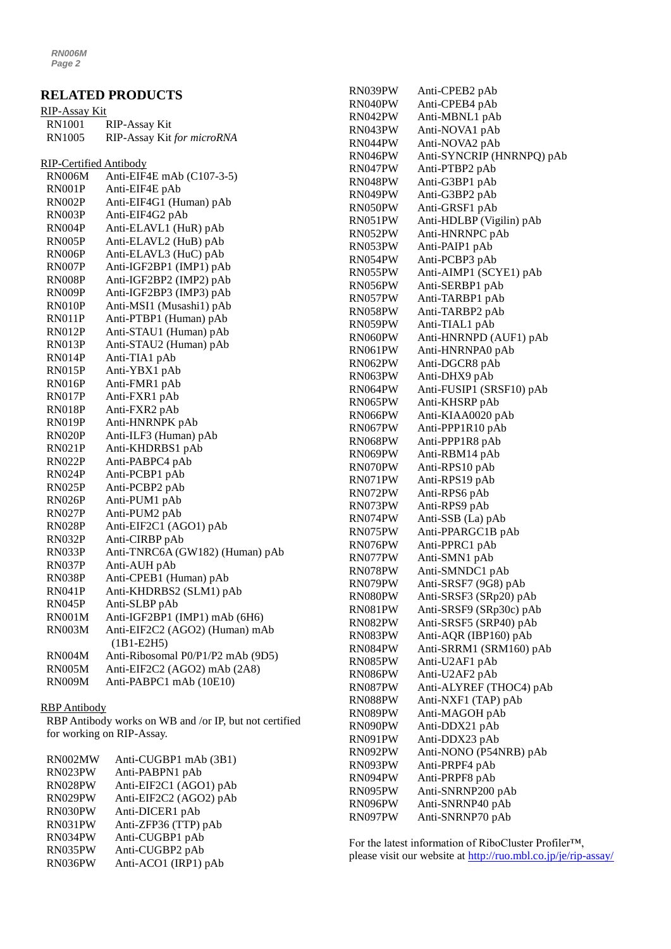*RN006M Page 2*

|                               | <b>RELATED PRODUCTS</b>                        |
|-------------------------------|------------------------------------------------|
| <u>RIP-Assay Kit</u>          |                                                |
| RN1001                        | <b>RIP-Assay Kit</b>                           |
| <b>RN1005</b>                 | RIP-Assay Kit for microRNA                     |
| <b>RIP-Certified Antibody</b> |                                                |
| <b>RN006M</b>                 | Anti-EIF4E mAb (C107-3-5)                      |
| RN001P                        | Anti-EIF4E pAb                                 |
| RN002P                        | Anti-EIF4G1 (Human) pAb                        |
| RN003P                        | Anti-EIF4G2 pAb                                |
| RN004P                        | Anti-ELAVL1 (HuR) pAb                          |
| RN005P                        | Anti-ELAVL2 (HuB) pAb                          |
| RN006P                        | Anti-ELAVL3 (HuC) pAb                          |
| RN007P                        | Anti-IGF2BP1 (IMP1) pAb                        |
| RN008P                        | Anti-IGF2BP2 (IMP2) pAb                        |
| RN009P                        | Anti-IGF2BP3 (IMP3) pAb                        |
| RN010P                        | Anti-MSI1 (Musashi1) pAb                       |
| RN011P                        | Anti-PTBP1 (Human) pAb                         |
| RN012P                        | Anti-STAU1 (Human) pAb                         |
| RN013P                        | Anti-STAU2 (Human) pAb                         |
| RN014P                        | Anti-TIA1 pAb                                  |
| <b>RN015P</b>                 | Anti-YBX1 pAb                                  |
| RN016P                        | Anti-FMR1 pAb                                  |
| RN017P                        | Anti-FXR1 pAb                                  |
| <b>RN018P</b>                 | Anti-FXR2 pAb                                  |
| RN019P                        | Anti-HNRNPK pAb                                |
| RN020P                        | Anti-ILF3 (Human) pAb                          |
| RN021P                        | Anti-KHDRBS1 pAb                               |
| RN022P                        | Anti-PABPC4 pAb                                |
| RN024P                        | Anti-PCBP1 pAb                                 |
| RN025P                        | Anti-PCBP2 pAb                                 |
| <b>RN026P</b>                 | Anti-PUM1 pAb                                  |
| <b>RN027P</b>                 | Anti-PUM2 pAb                                  |
| <b>RN028P</b>                 | Anti-EIF2C1 (AGO1) pAb                         |
| RN032P                        | Anti-CIRBP pAb                                 |
| RN033P                        | Anti-TNRC6A (GW182) (Human) pAb                |
| RN037P                        | Anti-AUH pAb                                   |
| RN038P                        | Anti-CPEB1 (Human) pAb                         |
| <b>RN041P</b>                 | Anti-KHDRBS2 (SLM1) pAb                        |
| RN045P                        | Anti-SLBP pAb                                  |
| <b>RN001M</b>                 | Anti-IGF2BP1 (IMP1) mAb (6H6)                  |
| <b>RN003M</b>                 | Anti-EIF2C2 (AGO2) (Human) mAb<br>$(1B1-E2H5)$ |
| <b>RN004M</b>                 | Anti-Ribosomal P0/P1/P2 mAb (9D5)              |
| <b>RN005M</b>                 | Anti-EIF2C2 (AGO2) mAb (2A8)                   |
| <b>RN009M</b>                 | Anti-PABPC1 mAb (10E10)                        |
|                               |                                                |

#### RBP Antibody

RBP Antibody works on WB and /or IP, but not certified for working on RIP-Assay.

| RN002MW | Anti-CUGBP1 mAb (3B1)  |
|---------|------------------------|
| RN023PW | Anti-PABPN1 pAb        |
| RN028PW | Anti-EIF2C1 (AGO1) pAb |
| RN029PW | Anti-EIF2C2 (AGO2) pAb |
| RN030PW | Anti-DICER1 pAb        |
| RN031PW | Anti-ZFP36 (TTP) pAb   |
| RN034PW | Anti-CUGBP1 pAb        |
| RN035PW | Anti-CUGBP2 pAb        |
| RN036PW | Anti-ACO1 (IRP1) pAb   |
|         |                        |

| RN039PW | Anti-CPEB2 pAb            |
|---------|---------------------------|
| RN040PW | Anti-CPEB4 pAb            |
| RN042PW | Anti-MBNL1 pAb            |
| RN043PW | Anti-NOVA1 pAb            |
| RN044PW | Anti-NOVA2 pAb            |
| RN046PW | Anti-SYNCRIP (HNRNPQ) pAb |
| RN047PW | Anti-PTBP2 pAb            |
| RN048PW | Anti-G3BP1 pAb            |
| RN049PW | Anti-G3BP2 pAb            |
| RN050PW | Anti-GRSF1 pAb            |
| RN051PW | Anti-HDLBP (Vigilin) pAb  |
| RN052PW | Anti-HNRNPC pAb           |
| RN053PW | Anti-PAIP1 pAb            |
| RN054PW | Anti-PCBP3 pAb            |
| RN055PW | Anti-AIMP1 (SCYE1) pAb    |
| RN056PW | Anti-SERBP1 pAb           |
| RN057PW | Anti-TARBP1 pAb           |
| RN058PW | Anti-TARBP2 pAb           |
| RN059PW | Anti-TIAL1 pAb            |
| RN060PW | Anti-HNRNPD (AUF1) pAb    |
| RN061PW | Anti-HNRNPA0 pAb          |
| RN062PW | Anti-DGCR8 pAb            |
| RN063PW | Anti-DHX9 pAb             |
| RN064PW | Anti-FUSIP1 (SRSF10) pAb  |
| RN065PW | Anti-KHSRP pAb            |
| RN066PW | Anti-KIAA0020 pAb         |
| RN067PW | Anti-PPP1R10 pAb          |
| RN068PW | Anti-PPP1R8 pAb           |
| RN069PW | Anti-RBM14 pAb            |
| RN070PW | Anti-RPS10 pAb            |
| RN071PW | Anti-RPS19 pAb            |
| RN072PW | Anti-RPS6 pAb             |
| RN073PW | Anti-RPS9 pAb             |
| RN074PW | Anti-SSB (La) pAb         |
| RN075PW | Anti-PPARGC1B pAb         |
| RN076PW | Anti-PPRC1 pAb            |
| RN077PW | Anti-SMN1 pAb             |
| RN078PW | Anti-SMNDC1 pAb           |
| RN079PW | Anti-SRSF7 (9G8) pAb      |
| RN080PW | Anti-SRSF3 (SRp20) pAb    |
| RN081PW | Anti-SRSF9 (SRp30c) pAb   |
| RN082PW | Anti-SRSF5 (SRP40) pAb    |
| RN083PW | Anti-AQR (IBP160) pAb     |
| RN084PW | Anti-SRRM1 (SRM160) pAb   |
| RN085PW | Anti-U2AF1 pAb            |
| RN086PW | Anti-U2AF2 pAb            |
| RN087PW | Anti-ALYREF (THOC4) pAb   |
| RN088PW | Anti-NXF1 (TAP) pAb       |
| RN089PW | Anti-MAGOH pAb            |
| RN090PW | Anti-DDX21 pAb            |
| RN091PW | Anti-DDX23 pAb            |
| RN092PW | Anti-NONO (P54NRB) pAb    |
| RN093PW | Anti-PRPF4 pAb            |
| RN094PW | Anti-PRPF8 pAb            |
| RN095PW | Anti-SNRNP200 pAb         |
| RN096PW | Anti-SNRNP40 pAb          |
| RN097PW | Anti-SNRNP70 pAb          |
|         |                           |

For the latest information of RiboCluster Profiler™, please visit our website at [http://ruo.mbl.co.jp/je/rip-assay/](https://ruo.mbl.co.jp/je/rip-assay/)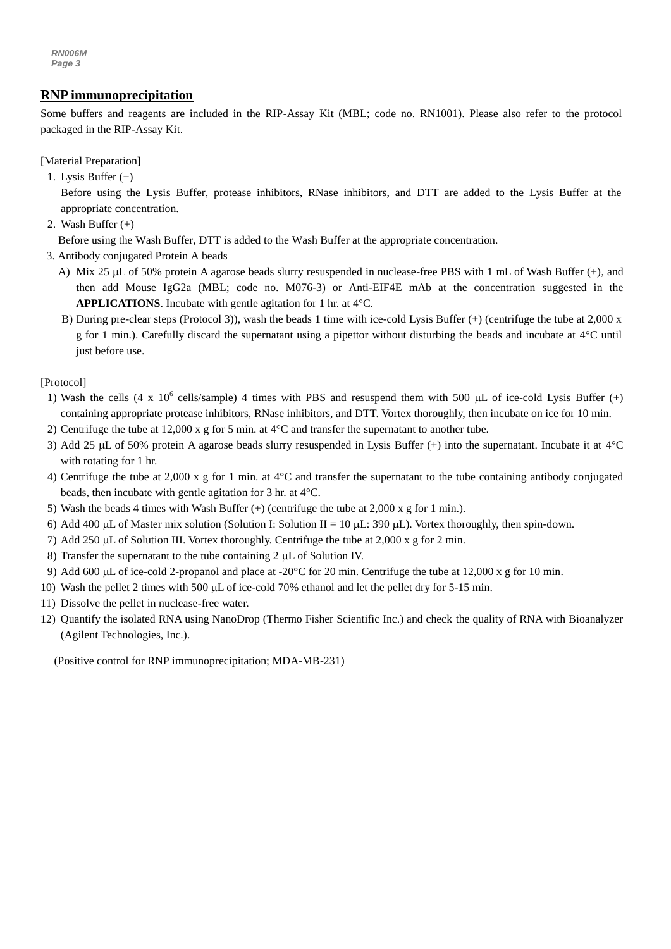*RN006M Page 3*

# *g* **RNP immunoprecipitation**

**Example 18 and reagents are included in the RIP-Assay Kit (MBL; code no. RN1001). Please also refer to the protocol** packaged in the RIP-Assay Kit.

[Material Preparation]

1. Lysis Buffer (+)

Before using the Lysis Buffer, protease inhibitors, RNase inhibitors, and DTT are added to the Lysis Buffer at the appropriate concentration.

2. Wash Buffer (+)

Before using the Wash Buffer, DTT is added to the Wash Buffer at the appropriate concentration.

- 3. Antibody conjugated Protein A beads
	- A) Mix 25 µL of 50% protein A agarose beads slurry resuspended in nuclease-free PBS with 1 mL of Wash Buffer (+), and then add Mouse IgG2a (MBL; code no. M076-3) or Anti-EIF4E mAb at the concentration suggested in the **APPLICATIONS**. Incubate with gentle agitation for 1 hr. at 4°C.
	- B) During pre-clear steps (Protocol 3)), wash the beads 1 time with ice-cold Lysis Buffer (+) (centrifuge the tube at 2,000 x g for 1 min.). Carefully discard the supernatant using a pipettor without disturbing the beads and incubate at 4°C until just before use.

[Protocol]

- 1) Wash the cells (4 x  $10^6$  cells/sample) 4 times with PBS and resuspend them with 500 µL of ice-cold Lysis Buffer (+) containing appropriate protease inhibitors, RNase inhibitors, and DTT. Vortex thoroughly, then incubate on ice for 10 min.
- 2) Centrifuge the tube at 12,000 x g for 5 min. at 4°C and transfer the supernatant to another tube.
- 3) Add 25  $\mu$ L of 50% protein A agarose beads slurry resuspended in Lysis Buffer (+) into the supernatant. Incubate it at 4°C with rotating for 1 hr.
- 4) Centrifuge the tube at 2,000 x g for 1 min. at 4°C and transfer the supernatant to the tube containing antibody conjugated beads, then incubate with gentle agitation for 3 hr. at 4°C.
- 5) Wash the beads 4 times with Wash Buffer  $(+)$  (centrifuge the tube at 2,000 x g for 1 min.).
- 6) Add 400 µL of Master mix solution (Solution I: Solution II = 10 µL: 390 µL). Vortex thoroughly, then spin-down.
- 7) Add 250  $\mu$ L of Solution III. Vortex thoroughly. Centrifuge the tube at 2,000 x g for 2 min.
- 8) Transfer the supernatant to the tube containing  $2 \mu L$  of Solution IV.
- 9) Add 600  $\mu$ L of ice-cold 2-propanol and place at -20 $\degree$ C for 20 min. Centrifuge the tube at 12,000 x g for 10 min.
- 10) Wash the pellet 2 times with 500 µL of ice-cold 70% ethanol and let the pellet dry for 5-15 min.
- 11) Dissolve the pellet in nuclease-free water.
- 12) Quantify the isolated RNA using NanoDrop (Thermo Fisher Scientific Inc.) and check the quality of RNA with Bioanalyzer (Agilent Technologies, Inc.).

(Positive control for RNP immunoprecipitation; MDA-MB-231)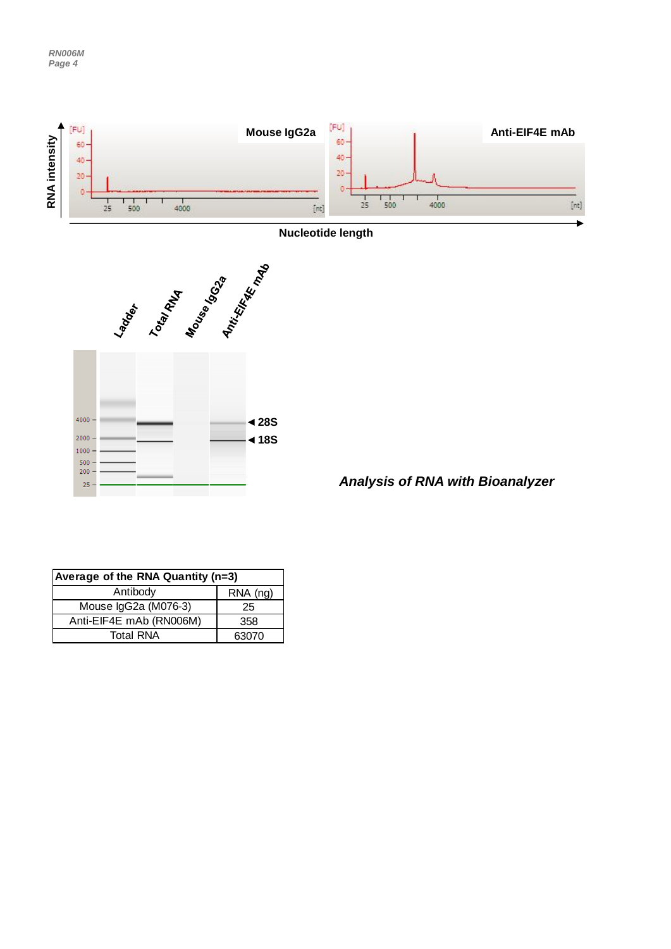





*Analysis of RNA with Bioanalyzer*

| Average of the RNA Quantity (n=3) |          |  |
|-----------------------------------|----------|--|
| Antibody                          | RNA (ng) |  |
| Mouse IgG2a (M076-3)              | 25       |  |
| Anti-EIF4E mAb (RN006M)           | 358      |  |
| <b>Total RNA</b>                  | 63070    |  |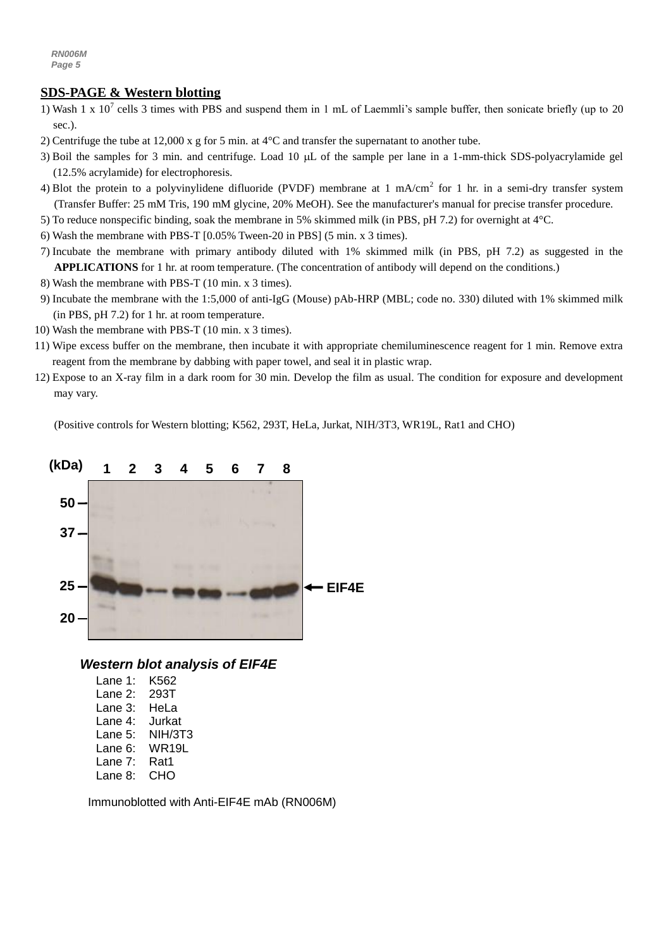# **SDS-PAGE & Western blotting**

- 1) Wash 1 x  $10^7$  cells 3 times with PBS and suspend them in 1 mL of Laemmli's sample buffer, then sonicate briefly (up to 20 sec.).
- 2) Centrifuge the tube at 12,000 x g for 5 min. at 4°C and transfer the supernatant to another tube.
- 3) Boil the samples for 3 min. and centrifuge. Load 10  $\mu$ L of the sample per lane in a 1-mm-thick SDS-polyacrylamide gel (12.5% acrylamide) for electrophoresis.
- 4) Blot the protein to a polyvinylidene difluoride (PVDF) membrane at 1 mA/cm<sup>2</sup> for 1 hr. in a semi-dry transfer system (Transfer Buffer: 25 mM Tris, 190 mM glycine, 20% MeOH). See the manufacturer's manual for precise transfer procedure.
- 5) To reduce nonspecific binding, soak the membrane in 5% skimmed milk (in PBS, pH 7.2) for overnight at 4°C.
- 6) Wash the membrane with PBS-T [0.05% Tween-20 in PBS] (5 min. x 3 times).
- 7) Incubate the membrane with primary antibody diluted with 1% skimmed milk (in PBS, pH 7.2) as suggested in the **APPLICATIONS** for 1 hr. at room temperature. (The concentration of antibody will depend on the conditions.)
- 8) Wash the membrane with PBS-T (10 min. x 3 times).
- 9) Incubate the membrane with the 1:5,000 of [anti-IgG \(Mouse\) pAb-HRP](http://ruo.mbl.co.jp/g/dtl/A/330/) (MBL; code no. 330) diluted with 1% skimmed milk (in PBS, pH 7.2) for 1 hr. at room temperature.
- 10) Wash the membrane with PBS-T (10 min. x 3 times).
- 11) Wipe excess buffer on the membrane, then incubate it with appropriate chemiluminescence reagent for 1 min. Remove extra reagent from the membrane by dabbing with paper towel, and seal it in plastic wrap.
- 12) Expose to an X-ray film in a dark room for 30 min. Develop the film as usual. The condition for exposure and development may vary.

(Positive controls for Western blotting; K562, 293T, HeLa, Jurkat, NIH/3T3, WR19L, Rat1 and CHO)



# *Western blot analysis of EIF4E*

| Lane 1: | K562    |
|---------|---------|
| Lane 2: | 293T    |
| Lane 3: | HeLa    |
| Lane 4: | Jurkat  |
| Lane 5: | NIH/3T3 |
| Lane 6: | WR19L   |
| Lane 7: | Rat1    |
| Lane 8: | СНО     |

Immunoblotted with Anti-EIF4E mAb (RN006M)